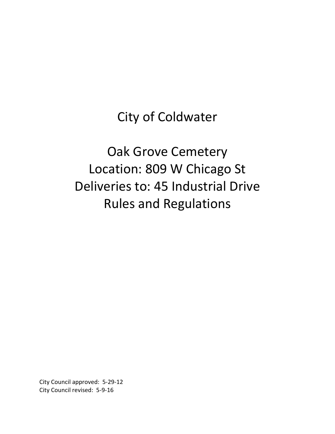City of Coldwater

# Oak Grove Cemetery Location: 809 W Chicago St Deliveries to: 45 Industrial Drive Rules and Regulations

City Council approved: 5-29-12 City Council revised: 5-9-16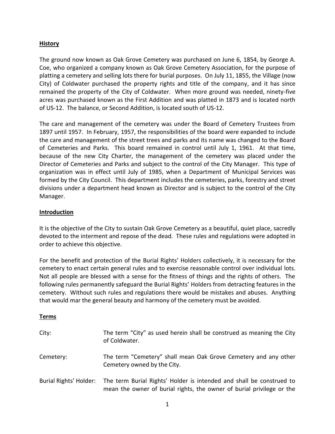## **History**

The ground now known as Oak Grove Cemetery was purchased on June 6, 1854, by George A. Coe, who organized a company known as Oak Grove Cemetery Association, for the purpose of platting a cemetery and selling lots there for burial purposes. On July 11, 1855, the Village (now City) of Coldwater purchased the property rights and title of the company, and it has since remained the property of the City of Coldwater. When more ground was needed, ninety-five acres was purchased known as the First Addition and was platted in 1873 and is located north of US-12. The balance, or Second Addition, is located south of US-12.

The care and management of the cemetery was under the Board of Cemetery Trustees from 1897 until 1957. In February, 1957, the responsibilities of the board were expanded to include the care and management of the street trees and parks and its name was changed to the Board of Cemeteries and Parks. This board remained in control until July 1, 1961. At that time, because of the new City Charter, the management of the cemetery was placed under the Director of Cemeteries and Parks and subject to the control of the City Manager. This type of organization was in effect until July of 1985, when a Department of Municipal Services was formed by the City Council. This department includes the cemeteries, parks, forestry and street divisions under a department head known as Director and is subject to the control of the City Manager.

## **Introduction**

It is the objective of the City to sustain Oak Grove Cemetery as a beautiful, quiet place, sacredly devoted to the interment and repose of the dead. These rules and regulations were adopted in order to achieve this objective.

For the benefit and protection of the Burial Rights' Holders collectively, it is necessary for the cemetery to enact certain general rules and to exercise reasonable control over individual lots. Not all people are blessed with a sense for the fitness of things and the rights of others. The following rules permanently safeguard the Burial Rights' Holders from detracting features in the cemetery. Without such rules and regulations there would be mistakes and abuses. Anything that would mar the general beauty and harmony of the cemetery must be avoided.

## **Terms**

| City:                  | The term "City" as used herein shall be construed as meaning the City<br>of Coldwater.                                                        |
|------------------------|-----------------------------------------------------------------------------------------------------------------------------------------------|
| Cemetery:              | The term "Cemetery" shall mean Oak Grove Cemetery and any other<br>Cemetery owned by the City.                                                |
| Burial Rights' Holder: | The term Burial Rights' Holder is intended and shall be construed to<br>mean the owner of burial rights, the owner of burial privilege or the |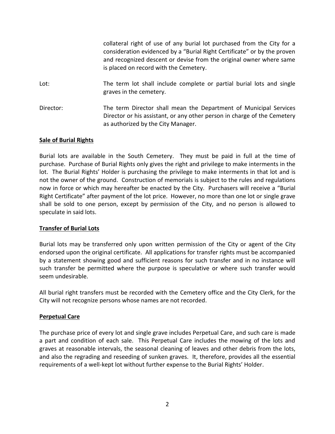collateral right of use of any burial lot purchased from the City for a consideration evidenced by a "Burial Right Certificate" or by the proven and recognized descent or devise from the original owner where same is placed on record with the Cemetery.

- Lot: The term lot shall include complete or partial burial lots and single graves in the cemetery.
- Director: The term Director shall mean the Department of Municipal Services Director or his assistant, or any other person in charge of the Cemetery as authorized by the City Manager.

## **Sale of Burial Rights**

Burial lots are available in the South Cemetery. They must be paid in full at the time of purchase. Purchase of Burial Rights only gives the right and privilege to make interments in the lot. The Burial Rights' Holder is purchasing the privilege to make interments in that lot and is not the owner of the ground. Construction of memorials is subject to the rules and regulations now in force or which may hereafter be enacted by the City. Purchasers will receive a "Burial Right Certificate" after payment of the lot price. However, no more than one lot or single grave shall be sold to one person, except by permission of the City, and no person is allowed to speculate in said lots.

## **Transfer of Burial Lots**

Burial lots may be transferred only upon written permission of the City or agent of the City endorsed upon the original certificate. All applications for transfer rights must be accompanied by a statement showing good and sufficient reasons for such transfer and in no instance will such transfer be permitted where the purpose is speculative or where such transfer would seem undesirable.

All burial right transfers must be recorded with the Cemetery office and the City Clerk, for the City will not recognize persons whose names are not recorded.

## **Perpetual Care**

The purchase price of every lot and single grave includes Perpetual Care, and such care is made a part and condition of each sale. This Perpetual Care includes the mowing of the lots and graves at reasonable intervals, the seasonal cleaning of leaves and other debris from the lots, and also the regrading and reseeding of sunken graves. It, therefore, provides all the essential requirements of a well-kept lot without further expense to the Burial Rights' Holder.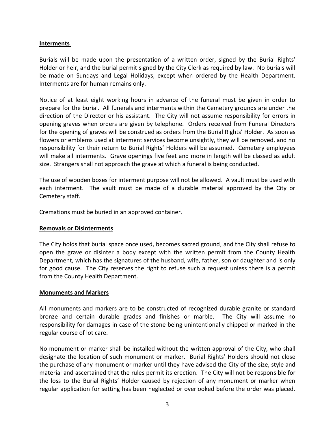## **Interments**

Burials will be made upon the presentation of a written order, signed by the Burial Rights' Holder or heir, and the burial permit signed by the City Clerk as required by law. No burials will be made on Sundays and Legal Holidays, except when ordered by the Health Department. Interments are for human remains only.

Notice of at least eight working hours in advance of the funeral must be given in order to prepare for the burial. All funerals and interments within the Cemetery grounds are under the direction of the Director or his assistant. The City will not assume responsibility for errors in opening graves when orders are given by telephone. Orders received from Funeral Directors for the opening of graves will be construed as orders from the Burial Rights' Holder. As soon as flowers or emblems used at interment services become unsightly, they will be removed, and no responsibility for their return to Burial Rights' Holders will be assumed. Cemetery employees will make all interments. Grave openings five feet and more in length will be classed as adult size. Strangers shall not approach the grave at which a funeral is being conducted.

The use of wooden boxes for interment purpose will not be allowed. A vault must be used with each interment. The vault must be made of a durable material approved by the City or Cemetery staff.

Cremations must be buried in an approved container.

#### **Removals or Disinterments**

The City holds that burial space once used, becomes sacred ground, and the City shall refuse to open the grave or disinter a body except with the written permit from the County Health Department, which has the signatures of the husband, wife, father, son or daughter and is only for good cause. The City reserves the right to refuse such a request unless there is a permit from the County Health Department.

#### **Monuments and Markers**

All monuments and markers are to be constructed of recognized durable granite or standard bronze and certain durable grades and finishes or marble. The City will assume no responsibility for damages in case of the stone being unintentionally chipped or marked in the regular course of lot care.

No monument or marker shall be installed without the written approval of the City, who shall designate the location of such monument or marker. Burial Rights' Holders should not close the purchase of any monument or marker until they have advised the City of the size, style and material and ascertained that the rules permit its erection. The City will not be responsible for the loss to the Burial Rights' Holder caused by rejection of any monument or marker when regular application for setting has been neglected or overlooked before the order was placed.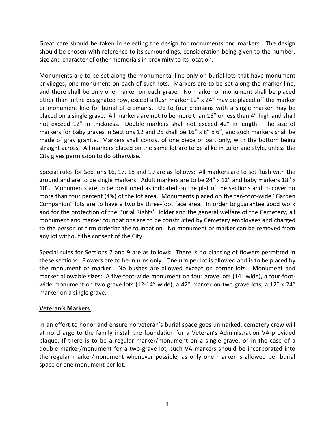Great care should be taken in selecting the design for monuments and markers. The design should be chosen with reference to its surroundings, consideration being given to the number, size and character of other memorials in proximity to its location.

Monuments are to be set along the monumental line only on burial lots that have monument privileges, one monument on each of such lots. Markers are to be set along the marker line, and there shall be only one marker on each grave. No marker or monument shall be placed other than in the designated row, except a flush marker 12" x 24" may be placed off the marker or monument line for burial of cremains. Up to four cremains with a single marker may be placed on a single grave. All markers are not to be more than 16" or less than 4" high and shall not exceed 12" in thickness. Double markers shall not exceed 42" in length. The size of markers for baby graves in Sections 12 and 25 shall be  $16'' \times 8'' \times 6''$ , and such markers shall be made of gray granite. Markers shall consist of one piece or part only, with the bottom being straight across. All markers placed on the same lot are to be alike in color and style, unless the City gives permission to do otherwise.

Special rules for Sections 16, 17, 18 and 19 are as follows: All markers are to set flush with the ground and are to be single markers. Adult markers are to be 24" x 12" and baby markers 18" x 10". Monuments are to be positioned as indicated on the plat of the sections and to cover no more than four percent (4%) of the lot area. Monuments placed on the ten-foot-wide "Garden Companion" lots are to have a two by three-foot face area. In order to guarantee good work and for the protection of the Burial Rights' Holder and the general welfare of the Cemetery, all monument and marker foundations are to be constructed by Cemetery employees and charged to the person or firm ordering the foundation. No monument or marker can be removed from any lot without the consent of the City.

Special rules for Sections 7 and 9 are as follows: There is no planting of flowers permitted in these sections. Flowers are to be in urns only. One urn per lot is allowed and is to be placed by the monument or marker. No bushes are allowed except on corner lots. Monument and marker allowable sizes: A five-foot-wide monument on four grave lots (14" wide), a four-footwide monument on two grave lots (12-14" wide), a 42" marker on two grave lots, a 12" x 24" marker on a single grave.

# **Veteran's Markers**

In an effort to honor and ensure no veteran's burial space goes unmarked, cemetery crew will at no charge to the family install the foundation for a Veteran's Administration VA-provided plaque. If there is to be a regular marker/monument on a single grave, or in the case of a double marker/monument for a two-grave lot, such VA-markers should be incorporated into the regular marker/monument whenever possible, as only one marker is allowed per burial space or one monument per lot.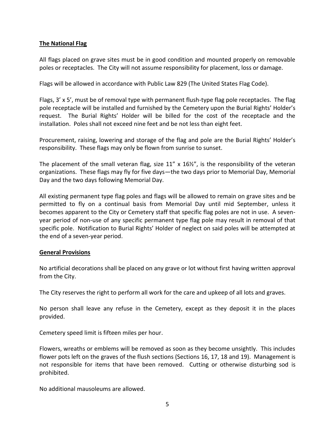## **The National Flag**

All flags placed on grave sites must be in good condition and mounted properly on removable poles or receptacles. The City will not assume responsibility for placement, loss or damage.

Flags will be allowed in accordance with Public Law 829 (The United States Flag Code).

Flags,  $3' \times 5'$ , must be of removal type with permanent flush-type flag pole receptacles. The flag pole receptacle will be installed and furnished by the Cemetery upon the Burial Rights' Holder's request. The Burial Rights' Holder will be billed for the cost of the receptacle and the installation. Poles shall not exceed nine feet and be not less than eight feet.

Procurement, raising, lowering and storage of the flag and pole are the Burial Rights' Holder's responsibility. These flags may only be flown from sunrise to sunset.

The placement of the small veteran flag, size  $11''$  x  $16\frac{1}{2}''$ , is the responsibility of the veteran organizations. These flags may fly for five days—the two days prior to Memorial Day, Memorial Day and the two days following Memorial Day.

All existing permanent type flag poles and flags will be allowed to remain on grave sites and be permitted to fly on a continual basis from Memorial Day until mid September, unless it becomes apparent to the City or Cemetery staff that specific flag poles are not in use. A sevenyear period of non-use of any specific permanent type flag pole may result in removal of that specific pole. Notification to Burial Rights' Holder of neglect on said poles will be attempted at the end of a seven-year period.

## **General Provisions**

No artificial decorations shall be placed on any grave or lot without first having written approval from the City.

The City reserves the right to perform all work for the care and upkeep of all lots and graves.

No person shall leave any refuse in the Cemetery, except as they deposit it in the places provided.

Cemetery speed limit is fifteen miles per hour.

Flowers, wreaths or emblems will be removed as soon as they become unsightly. This includes flower pots left on the graves of the flush sections (Sections 16, 17, 18 and 19). Management is not responsible for items that have been removed. Cutting or otherwise disturbing sod is prohibited.

No additional mausoleums are allowed.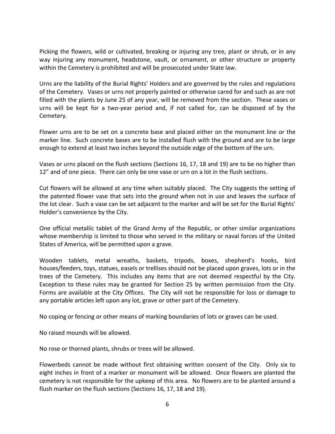Picking the flowers, wild or cultivated, breaking or injuring any tree, plant or shrub, or in any way injuring any monument, headstone, vault, or ornament, or other structure or property within the Cemetery is prohibited and will be prosecuted under State law.

Urns are the liability of the Burial Rights' Holders and are governed by the rules and regulations of the Cemetery. Vases or urns not properly painted or otherwise cared for and such as are not filled with the plants by June 25 of any year, will be removed from the section. These vases or urns will be kept for a two-year period and, if not called for, can be disposed of by the Cemetery.

Flower urns are to be set on a concrete base and placed either on the monument line or the marker line. Such concrete bases are to be installed flush with the ground and are to be large enough to extend at least two inches beyond the outside edge of the bottom of the urn.

Vases or urns placed on the flush sections (Sections 16, 17, 18 and 19) are to be no higher than 12" and of one piece. There can only be one vase or urn on a lot in the flush sections.

Cut flowers will be allowed at any time when suitably placed. The City suggests the setting of the patented flower vase that sets into the ground when not in use and leaves the surface of the lot clear. Such a vase can be set adjacent to the marker and will be set for the Burial Rights' Holder's convenience by the City.

One official metallic tablet of the Grand Army of the Republic, or other similar organizations whose membership is limited to those who served in the military or naval forces of the United States of America, will be permitted upon a grave.

Wooden tablets, metal wreaths, baskets, tripods, boxes, shepherd's hooks, bird houses/feeders, toys, statues, easels or trellises should not be placed upon graves, lots or in the trees of the Cemetery. This includes any items that are not deemed respectful by the City. Exception to these rules may be granted for Section 25 by written permission from the City. Forms are available at the City Offices. The City will not be responsible for loss or damage to any portable articles left upon any lot, grave or other part of the Cemetery.

No coping or fencing or other means of marking boundaries of lots or graves can be used.

No raised mounds will be allowed.

No rose or thorned plants, shrubs or trees will be allowed.

Flowerbeds cannot be made without first obtaining written consent of the City. Only six to eight inches in front of a marker or monument will be allowed. Once flowers are planted the cemetery is not responsible for the upkeep of this area. No flowers are to be planted around a flush marker on the flush sections (Sections 16, 17, 18 and 19).